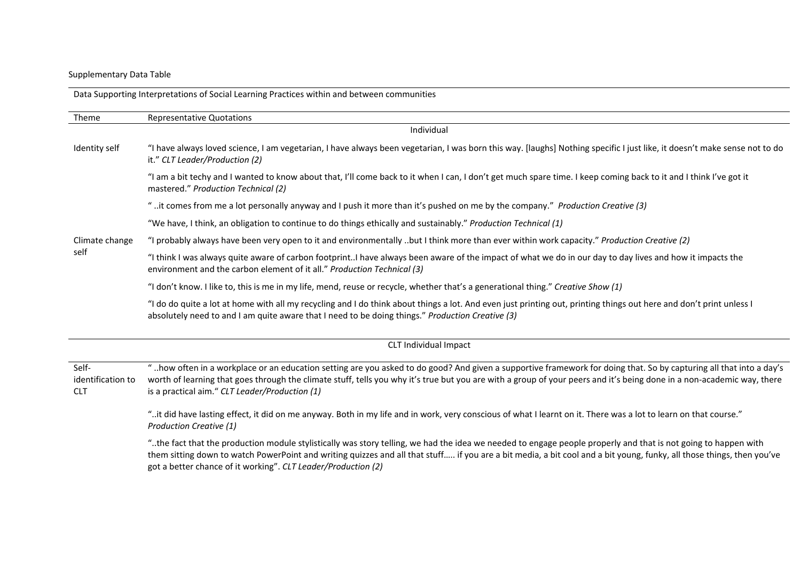# Supplementary Data Table

Data Supporting Interpretations of Social Learning Practices within and between communities

| Theme                                    | <b>Representative Quotations</b>                                                                                                                                                                                                                                                                                                                                                               |
|------------------------------------------|------------------------------------------------------------------------------------------------------------------------------------------------------------------------------------------------------------------------------------------------------------------------------------------------------------------------------------------------------------------------------------------------|
|                                          | Individual                                                                                                                                                                                                                                                                                                                                                                                     |
| Identity self                            | "I have always loved science, I am vegetarian, I have always been vegetarian, I was born this way. [laughs] Nothing specific I just like, it doesn't make sense not to do<br>it." CLT Leader/Production (2)                                                                                                                                                                                    |
|                                          | "I am a bit techy and I wanted to know about that, I'll come back to it when I can, I don't get much spare time. I keep coming back to it and I think I've got it<br>mastered." Production Technical (2)                                                                                                                                                                                       |
|                                          | " it comes from me a lot personally anyway and I push it more than it's pushed on me by the company." Production Creative (3)                                                                                                                                                                                                                                                                  |
|                                          | "We have, I think, an obligation to continue to do things ethically and sustainably." Production Technical (1)                                                                                                                                                                                                                                                                                 |
| Climate change<br>self                   | "I probably always have been very open to it and environmentally but I think more than ever within work capacity." Production Creative (2)                                                                                                                                                                                                                                                     |
|                                          | "I think I was always quite aware of carbon footprintI have always been aware of the impact of what we do in our day to day lives and how it impacts the<br>environment and the carbon element of it all." Production Technical (3)                                                                                                                                                            |
|                                          | "I don't know. I like to, this is me in my life, mend, reuse or recycle, whether that's a generational thing." Creative Show (1)                                                                                                                                                                                                                                                               |
|                                          | "I do do quite a lot at home with all my recycling and I do think about things a lot. And even just printing out, printing things out here and don't print unless I<br>absolutely need to and I am quite aware that I need to be doing things." Production Creative (3)                                                                                                                        |
|                                          | CLT Individual Impact                                                                                                                                                                                                                                                                                                                                                                          |
| Self-<br>identification to<br><b>CLT</b> | "how often in a workplace or an education setting are you asked to do good? And given a supportive framework for doing that. So by capturing all that into a day's<br>worth of learning that goes through the climate stuff, tells you why it's true but you are with a group of your peers and it's being done in a non-academic way, there<br>is a practical aim." CLT Leader/Production (1) |
|                                          | "it did have lasting effect, it did on me anyway. Both in my life and in work, very conscious of what I learnt on it. There was a lot to learn on that course."<br>Production Creative (1)                                                                                                                                                                                                     |
|                                          | the fact that the production module stylistically was story telling, we had the idea we needed to engage people properly and that is not going to happen with<br>them sitting down to watch PowerPoint and writing quizzes and all that stuff if you are a bit media, a bit cool and a bit young, funky, all those things, then you've                                                         |

got a better chance of it working". *CLT Leader/Production (2)*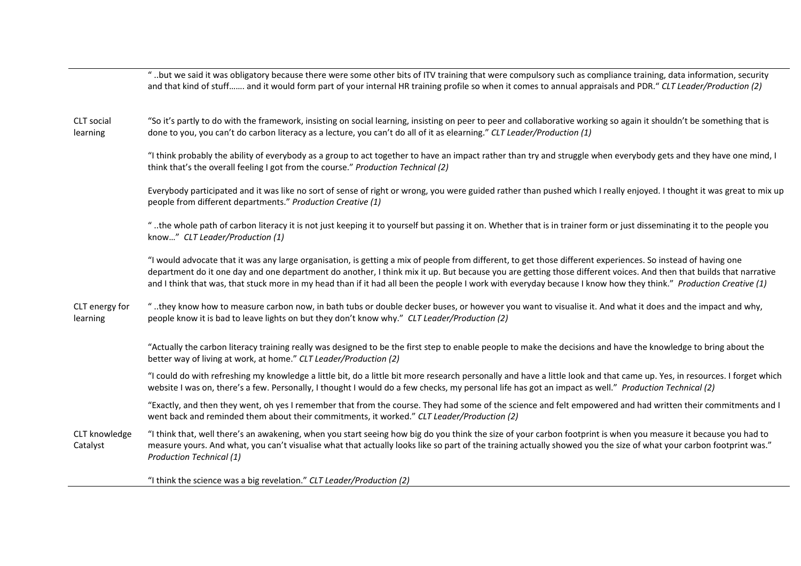|                            | but we said it was obligatory because there were some other bits of ITV training that were compulsory such as compliance training, data information, security "<br>and that kind of stuff and it would form part of your internal HR training profile so when it comes to annual appraisals and PDR." CLT Leader/Production (2)                                                                                                                                                                         |
|----------------------------|---------------------------------------------------------------------------------------------------------------------------------------------------------------------------------------------------------------------------------------------------------------------------------------------------------------------------------------------------------------------------------------------------------------------------------------------------------------------------------------------------------|
| CLT social<br>learning     | "So it's partly to do with the framework, insisting on social learning, insisting on peer to peer and collaborative working so again it shouldn't be something that is<br>done to you, you can't do carbon literacy as a lecture, you can't do all of it as elearning." CLT Leader/Production (1)                                                                                                                                                                                                       |
|                            | "I think probably the ability of everybody as a group to act together to have an impact rather than try and struggle when everybody gets and they have one mind, I<br>think that's the overall feeling I got from the course." Production Technical (2)                                                                                                                                                                                                                                                 |
|                            | Everybody participated and it was like no sort of sense of right or wrong, you were guided rather than pushed which I really enjoyed. I thought it was great to mix up<br>people from different departments." Production Creative (1)                                                                                                                                                                                                                                                                   |
|                            | the whole path of carbon literacy it is not just keeping it to yourself but passing it on. Whether that is in trainer form or just disseminating it to the people you. "<br>know" CLT Leader/Production (1)                                                                                                                                                                                                                                                                                             |
|                            | "I would advocate that it was any large organisation, is getting a mix of people from different, to get those different experiences. So instead of having one<br>department do it one day and one department do another, I think mix it up. But because you are getting those different voices. And then that builds that narrative<br>and I think that was, that stuck more in my head than if it had all been the people I work with everyday because I know how they think." Production Creative (1) |
| CLT energy for<br>learning | "they know how to measure carbon now, in bath tubs or double decker buses, or however you want to visualise it. And what it does and the impact and why,<br>people know it is bad to leave lights on but they don't know why." CLT Leader/Production (2)                                                                                                                                                                                                                                                |
|                            | "Actually the carbon literacy training really was designed to be the first step to enable people to make the decisions and have the knowledge to bring about the<br>better way of living at work, at home." CLT Leader/Production (2)                                                                                                                                                                                                                                                                   |
|                            | "I could do with refreshing my knowledge a little bit, do a little bit more research personally and have a little look and that came up. Yes, in resources. I forget which<br>website I was on, there's a few. Personally, I thought I would do a few checks, my personal life has got an impact as well." Production Technical (2)                                                                                                                                                                     |
|                            | "Exactly, and then they went, oh yes I remember that from the course. They had some of the science and felt empowered and had written their commitments and I<br>went back and reminded them about their commitments, it worked." CLT Leader/Production (2)                                                                                                                                                                                                                                             |
| CLT knowledge<br>Catalyst  | "I think that, well there's an awakening, when you start seeing how big do you think the size of your carbon footprint is when you measure it because you had to<br>measure yours. And what, you can't visualise what that actually looks like so part of the training actually showed you the size of what your carbon footprint was."<br><b>Production Technical (1)</b>                                                                                                                              |
|                            | "I think the science was a big revelation." CLT Leader/Production (2)                                                                                                                                                                                                                                                                                                                                                                                                                                   |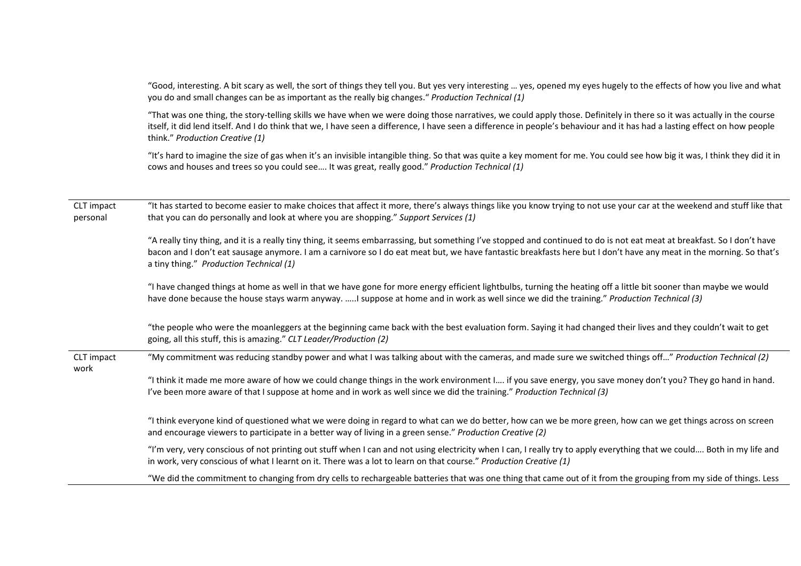"Good, interesting. A bit scary as well, the sort of things they tell you. But yes very interesting … yes, opened my eyes hugely to the effects of how you live and what you do and small changes can be as important as the really big changes." *Production Technical (1)*

"That was one thing, the story-telling skills we have when we were doing those narratives, we could apply those. Definitely in there so it was actually in the course itself, it did lend itself. And I do think that we, I have seen a difference, I have seen a difference in people's behaviour and it has had a lasting effect on how people think." *Production Creative (1)*

"It's hard to imagine the size of gas when it's an invisible intangible thing. So that was quite a key moment for me. You could see how big it was, I think they did it in cows and houses and trees so you could see…. It was great, really good." *Production Technical (1)*

| CLT impact<br>personal | "It has started to become easier to make choices that affect it more, there's always things like you know trying to not use your car at the weekend and stuff like that<br>that you can do personally and look at where you are shopping." Support Services (1)                                                                                                                            |
|------------------------|--------------------------------------------------------------------------------------------------------------------------------------------------------------------------------------------------------------------------------------------------------------------------------------------------------------------------------------------------------------------------------------------|
|                        | "A really tiny thing, and it is a really tiny thing, it seems embarrassing, but something I've stopped and continued to do is not eat meat at breakfast. So I don't have<br>bacon and I don't eat sausage anymore. I am a carnivore so I do eat meat but, we have fantastic breakfasts here but I don't have any meat in the morning. So that's<br>a tiny thing." Production Technical (1) |
|                        | "I have changed things at home as well in that we have gone for more energy efficient lightbulbs, turning the heating off a little bit sooner than maybe we would<br>have done because the house stays warm anyway. I suppose at home and in work as well since we did the training." Production Technical (3)                                                                             |
|                        | "the people who were the moanleggers at the beginning came back with the best evaluation form. Saying it had changed their lives and they couldn't wait to get<br>going, all this stuff, this is amazing." CLT Leader/Production (2)                                                                                                                                                       |
| CLT impact<br>work     | "My commitment was reducing standby power and what I was talking about with the cameras, and made sure we switched things off" Production Technical (2)                                                                                                                                                                                                                                    |
|                        | "I think it made me more aware of how we could change things in the work environment I if you save energy, you save money don't you? They go hand in hand.<br>I've been more aware of that I suppose at home and in work as well since we did the training." Production Technical (3)                                                                                                      |
|                        | "I think everyone kind of questioned what we were doing in regard to what can we do better, how can we be more green, how can we get things across on screen<br>and encourage viewers to participate in a better way of living in a green sense." Production Creative (2)                                                                                                                  |
|                        | "I'm very, very conscious of not printing out stuff when I can and not using electricity when I can, I really try to apply everything that we could Both in my life and<br>in work, very conscious of what I learnt on it. There was a lot to learn on that course." Production Creative (1)                                                                                               |
|                        | "We did the commitment to changing from dry cells to rechargeable batteries that was one thing that came out of it from the grouping from my side of things. Less                                                                                                                                                                                                                          |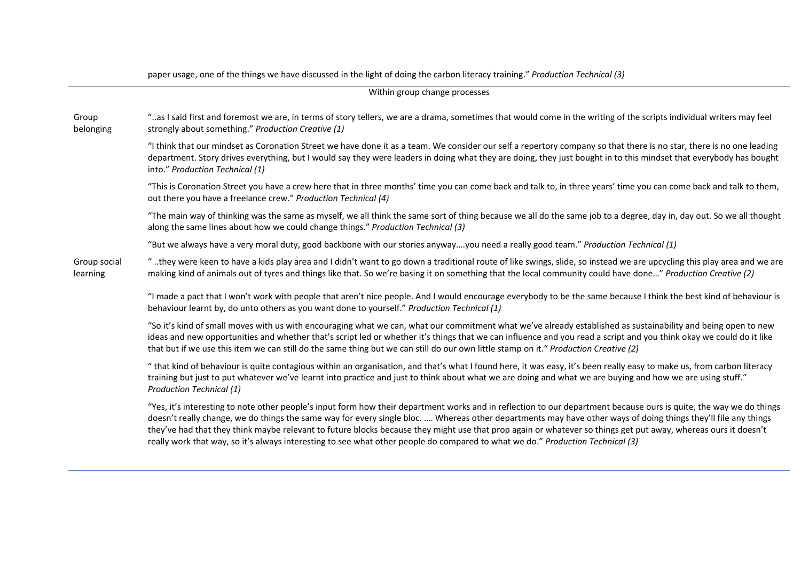|                               | paper usage, one of the things we have discussed in the light of doing the carbon literacy training." Production Technical (3)                                                                                                                                                                                                                                                                                                                                                                                                                                                                                                            |  |  |
|-------------------------------|-------------------------------------------------------------------------------------------------------------------------------------------------------------------------------------------------------------------------------------------------------------------------------------------------------------------------------------------------------------------------------------------------------------------------------------------------------------------------------------------------------------------------------------------------------------------------------------------------------------------------------------------|--|--|
| Within group change processes |                                                                                                                                                                                                                                                                                                                                                                                                                                                                                                                                                                                                                                           |  |  |
| Group<br>belonging            | "as I said first and foremost we are, in terms of story tellers, we are a drama, sometimes that would come in the writing of the scripts individual writers may feel<br>strongly about something." Production Creative (1)                                                                                                                                                                                                                                                                                                                                                                                                                |  |  |
|                               | "I think that our mindset as Coronation Street we have done it as a team. We consider our self a repertory company so that there is no star, there is no one leading<br>department. Story drives everything, but I would say they were leaders in doing what they are doing, they just bought in to this mindset that everybody has bought<br>into." Production Technical (1)                                                                                                                                                                                                                                                             |  |  |
|                               | "This is Coronation Street you have a crew here that in three months' time you can come back and talk to, in three years' time you can come back and talk to them,<br>out there you have a freelance crew." Production Technical (4)                                                                                                                                                                                                                                                                                                                                                                                                      |  |  |
|                               | "The main way of thinking was the same as myself, we all think the same sort of thing because we all do the same job to a degree, day in, day out. So we all thought<br>along the same lines about how we could change things." Production Technical (3)                                                                                                                                                                                                                                                                                                                                                                                  |  |  |
|                               | "But we always have a very moral duty, good backbone with our stories anywayyou need a really good team." Production Technical (1)                                                                                                                                                                                                                                                                                                                                                                                                                                                                                                        |  |  |
| Group social<br>learning      | they were keen to have a kids play area and I didn't want to go down a traditional route of like swings, slide, so instead we are upcycling this play area and we are<br>making kind of animals out of tyres and things like that. So we're basing it on something that the local community could have done" Production Creative (2)                                                                                                                                                                                                                                                                                                      |  |  |
|                               | "I made a pact that I won't work with people that aren't nice people. And I would encourage everybody to be the same because I think the best kind of behaviour is<br>behaviour learnt by, do unto others as you want done to yourself." Production Technical (1)                                                                                                                                                                                                                                                                                                                                                                         |  |  |
|                               | "So it's kind of small moves with us with encouraging what we can, what our commitment what we've already established as sustainability and being open to new<br>ideas and new opportunities and whether that's script led or whether it's things that we can influence and you read a script and you think okay we could do it like<br>that but if we use this item we can still do the same thing but we can still do our own little stamp on it." Production Creative (2)                                                                                                                                                              |  |  |
|                               | " that kind of behaviour is quite contagious within an organisation, and that's what I found here, it was easy, it's been really easy to make us, from carbon literacy<br>training but just to put whatever we've learnt into practice and just to think about what we are doing and what we are buying and how we are using stuff."<br><b>Production Technical (1)</b>                                                                                                                                                                                                                                                                   |  |  |
|                               | "Yes, it's interesting to note other people's input form how their department works and in reflection to our department because ours is quite, the way we do things<br>doesn't really change, we do things the same way for every single bloc.  Whereas other departments may have other ways of doing things they'll file any things<br>they've had that they think maybe relevant to future blocks because they might use that prop again or whatever so things get put away, whereas ours it doesn't<br>really work that way, so it's always interesting to see what other people do compared to what we do." Production Technical (3) |  |  |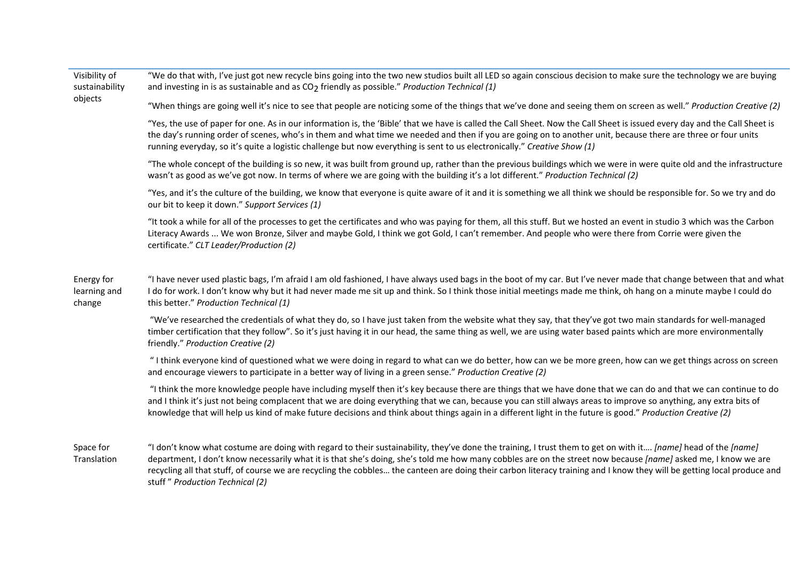Visibility of sustainability objects "We do that with, I've just got new recycle bins going into the two new studios built all LED so again conscious decision to make sure the technology we are buying and investing in is as sustainable and as CO2 friendly as possible." *Production Technical (1)* "When things are going well it's nice to see that people are noticing some of the things that we've done and seeing them on screen as well." *Production Creative (2)* "Yes, the use of paper for one. As in our information is, the 'Bible' that we have is called the Call Sheet. Now the Call Sheet is issued every day and the Call Sheet is the day's running order of scenes, who's in them and what time we needed and then if you are going on to another unit, because there are three or four units running everyday, so it's quite a logistic challenge but now everything is sent to us electronically." *Creative Show (1)* "The whole concept of the building is so new, it was built from ground up, rather than the previous buildings which we were in were quite old and the infrastructure wasn't as good as we've got now. In terms of where we are going with the building it's a lot different." *Production Technical (2)* "Yes, and it's the culture of the building, we know that everyone is quite aware of it and it is something we all think we should be responsible for. So we try and do our bit to keep it down." *Support Services (1)* "It took a while for all of the processes to get the certificates and who was paying for them, all this stuff. But we hosted an event in studio 3 which was the Carbon Literacy Awards ... We won Bronze, Silver and maybe Gold, I think we got Gold, I can't remember. And people who were there from Corrie were given the certificate." *CLT Leader/Production (2)* Energy for learning and change "I have never used plastic bags, I'm afraid I am old fashioned, I have always used bags in the boot of my car. But I've never made that change between that and what I do for work. I don't know why but it had never made me sit up and think. So I think those initial meetings made me think, oh hang on a minute maybe I could do this better." *Production Technical (1)* "We've researched the credentials of what they do, so I have just taken from the website what they say, that they've got two main standards for well-managed timber certification that they follow". So it's just having it in our head, the same thing as well, we are using water based paints which are more environmentally friendly." *Production Creative (2)* " I think everyone kind of questioned what we were doing in regard to what can we do better, how can we be more green, how can we get things across on screen and encourage viewers to participate in a better way of living in a green sense." *Production Creative (2)* "I think the more knowledge people have including myself then it's key because there are things that we have done that we can do and that we can continue to do and I think it's just not being complacent that we are doing everything that we can, because you can still always areas to improve so anything, any extra bits of knowledge that will help us kind of make future decisions and think about things again in a different light in the future is good." *Production Creative (2)* Space for "I don't know what costume are doing with regard to their sustainability, they've done the training, I trust them to get on with it…. *[name]* head of the *[name]*

**Translation** department, I don't know necessarily what it is that she's doing, she's told me how many cobbles are on the street now because *[name]* asked me, I know we are recycling all that stuff, of course we are recycling the cobbles… the canteen are doing their carbon literacy training and I know they will be getting local produce and stuff " *Production Technical (2)*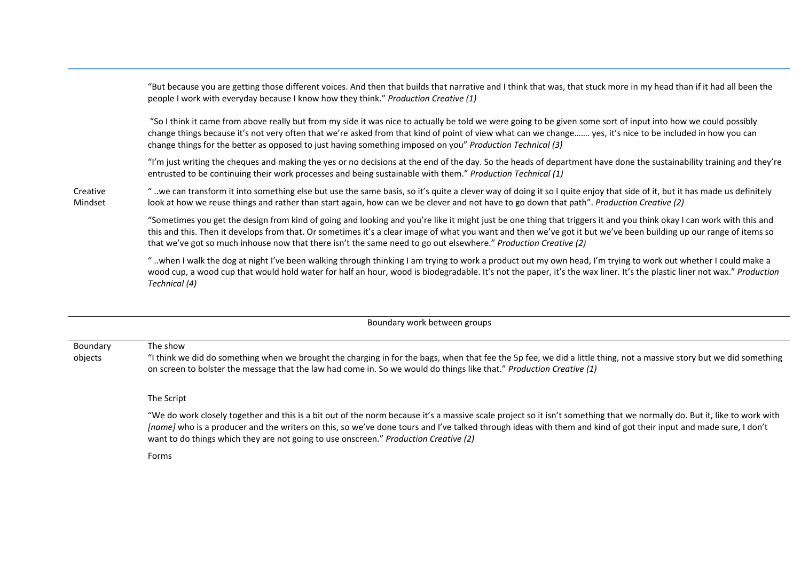"But because you are getting those different voices. And then that builds that narrative and I think that was, that stuck more in my head than if it had all been the people I work with everyday because I know how they think." *Production Creative (1)*

"So I think it came from above really but from my side it was nice to actually be told we were going to be given some sort of input into how we could possibly change things because it's not very often that we're asked from that kind of point of view what can we change……. yes, it's nice to be included in how you can change things for the better as opposed to just having something imposed on you" *Production Technical (3)*

"I'm just writing the cheques and making the yes or no decisions at the end of the day. So the heads of department have done the sustainability training and they're entrusted to be continuing their work processes and being sustainable with them." *Production Technical (1)*

Creative Mindset " ..we can transform it into something else but use the same basis, so it's quite a clever way of doing it so I quite enjoy that side of it, but it has made us definitely look at how we reuse things and rather than start again, how can we be clever and not have to go down that path". *Production Creative (2)*

> "Sometimes you get the design from kind of going and looking and you're like it might just be one thing that triggers it and you think okay I can work with this and this and this. Then it develops from that. Or sometimes it's a clear image of what you want and then we've got it but we've been building up our range of items so that we've got so much inhouse now that there isn't the same need to go out elsewhere." *Production Creative (2)*

> " ..when I walk the dog at night I've been walking through thinking I am trying to work a product out my own head, I'm trying to work out whether I could make a wood cup, a wood cup that would hold water for half an hour, wood is biodegradable. It's not the paper, it's the wax liner. It's the plastic liner not wax." *Production Technical (4)*

> > Boundary work between groups

Boundary objects The show "I think we did do something when we brought the charging in for the bags, when that fee the 5p fee, we did a little thing, not a massive story but we did something on screen to bolster the message that the law had come in. So we would do things like that." *Production Creative (1)*

The Script

"We do work closely together and this is a bit out of the norm because it's a massive scale project so it isn't something that we normally do. But it, like to work with *[name]* who is a producer and the writers on this, so we've done tours and I've talked through ideas with them and kind of got their input and made sure, I don't want to do things which they are not going to use onscreen." *Production Creative (2)*

Forms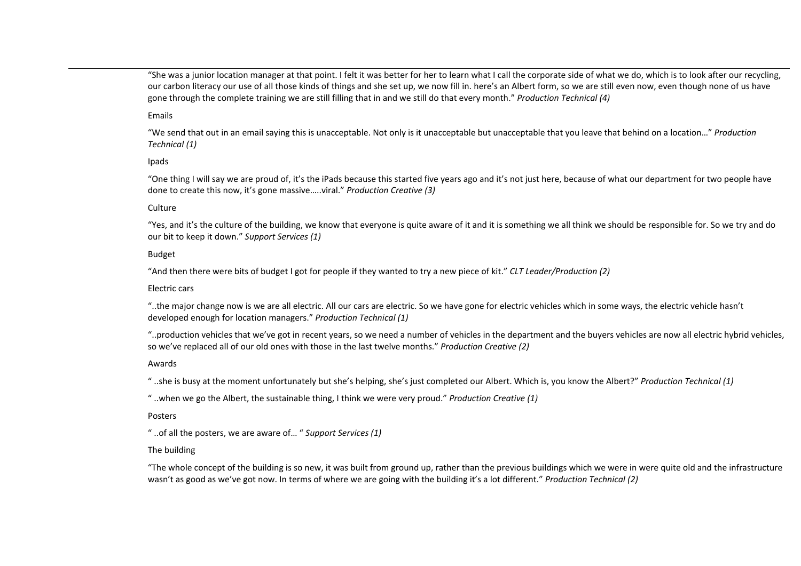"She was a junior location manager at that point. I felt it was better for her to learn what I call the corporate side of what we do, which is to look after our recycling, our carbon literacy our use of all those kinds of things and she set up, we now fill in. here's an Albert form, so we are still even now, even though none of us have gone through the complete training we are still filling that in and we still do that every month." *Production Technical (4)*

#### Emails

"We send that out in an email saying this is unacceptable. Not only is it unacceptable but unacceptable that you leave that behind on a location…" *Production Technical (1)*

## Ipads

"One thing I will say we are proud of, it's the iPads because this started five years ago and it's not just here, because of what our department for two people have done to create this now, it's gone massive…..viral." *Production Creative (3)*

#### **Culture**

"Yes, and it's the culture of the building, we know that everyone is quite aware of it and it is something we all think we should be responsible for. So we try and do our bit to keep it down." *Support Services (1)*

## Budget

"And then there were bits of budget I got for people if they wanted to try a new piece of kit." *CLT Leader/Production (2)*

## Electric cars

"..the major change now is we are all electric. All our cars are electric. So we have gone for electric vehicles which in some ways, the electric vehicle hasn't developed enough for location managers." *Production Technical (1)*

"..production vehicles that we've got in recent years, so we need a number of vehicles in the department and the buyers vehicles are now all electric hybrid vehicles, so we've replaced all of our old ones with those in the last twelve months." *Production Creative (2)*

## Awards

" ..she is busy at the moment unfortunately but she's helping, she's just completed our Albert. Which is, you know the Albert?" *Production Technical (1)*

" ..when we go the Albert, the sustainable thing, I think we were very proud." *Production Creative (1)*

## Posters

" ..of all the posters, we are aware of… " *Support Services (1)*

## The building

"The whole concept of the building is so new, it was built from ground up, rather than the previous buildings which we were in were quite old and the infrastructure wasn't as good as we've got now. In terms of where we are going with the building it's a lot different." *Production Technical (2)*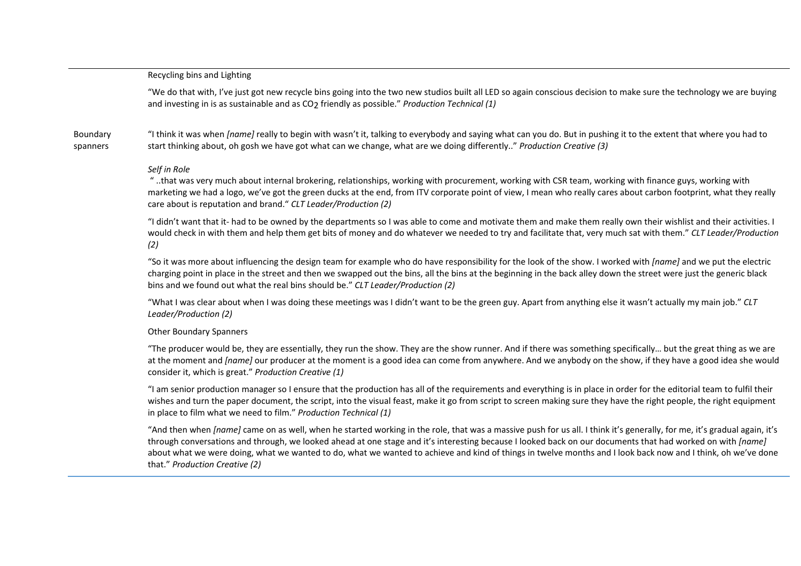#### Recycling bins and Lighting

"We do that with, I've just got new recycle bins going into the two new studios built all LED so again conscious decision to make sure the technology we are buying and investing in is as sustainable and as CO<sub>2</sub> friendly as possible." *Production Technical (1)* 

Boundary spanners "I think it was when *[name]* really to begin with wasn't it, talking to everybody and saying what can you do. But in pushing it to the extent that where you had to start thinking about, oh gosh we have got what can we change, what are we doing differently.." *Production Creative (3)*

#### *Self in Role*

" ..that was very much about internal brokering, relationships, working with procurement, working with CSR team, working with finance guys, working with marketing we had a logo, we've got the green ducks at the end, from ITV corporate point of view, I mean who really cares about carbon footprint, what they really care about is reputation and brand." *CLT Leader/Production (2)*

"I didn't want that it- had to be owned by the departments so I was able to come and motivate them and make them really own their wishlist and their activities. I would check in with them and help them get bits of money and do whatever we needed to try and facilitate that, very much sat with them." *CLT Leader/Production (2)*

"So it was more about influencing the design team for example who do have responsibility for the look of the show. I worked with *[name]* and we put the electric charging point in place in the street and then we swapped out the bins, all the bins at the beginning in the back alley down the street were just the generic black bins and we found out what the real bins should be." *CLT Leader/Production (2)*

"What I was clear about when I was doing these meetings was I didn't want to be the green guy. Apart from anything else it wasn't actually my main job." *CLT Leader/Production (2)*

#### Other Boundary Spanners

"The producer would be, they are essentially, they run the show. They are the show runner. And if there was something specifically… but the great thing as we are at the moment and *[name]* our producer at the moment is a good idea can come from anywhere. And we anybody on the show, if they have a good idea she would consider it, which is great." *Production Creative (1)*

"I am senior production manager so I ensure that the production has all of the requirements and everything is in place in order for the editorial team to fulfil their wishes and turn the paper document, the script, into the visual feast, make it go from script to screen making sure they have the right people, the right equipment in place to film what we need to film." *Production Technical (1)*

"And then when *[name]* came on as well, when he started working in the role, that was a massive push for us all, I think it's generally, for me, it's gradual again, it's through conversations and through, we looked ahead at one stage and it's interesting because I looked back on our documents that had worked on with *[name]* about what we were doing, what we wanted to do, what we wanted to achieve and kind of things in twelve months and I look back now and I think, oh we've done that." *Production Creative (2)*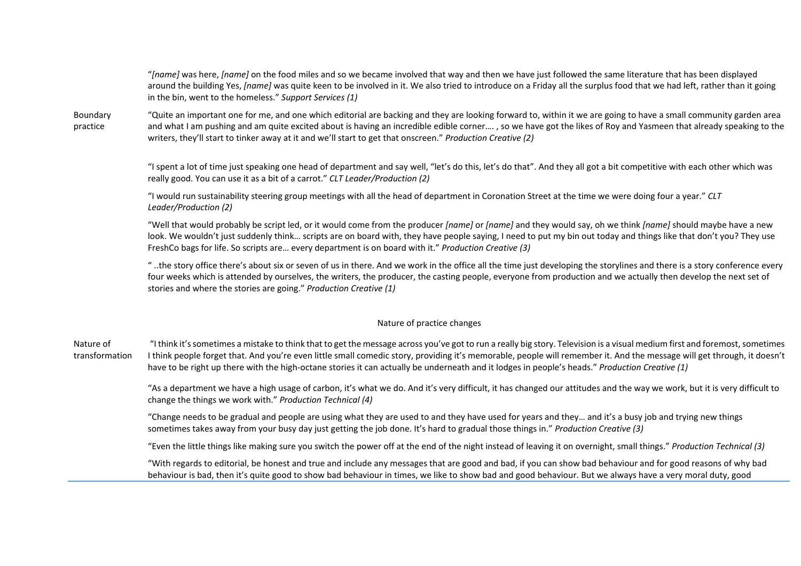"*[name]* was here, *[name]* on the food miles and so we became involved that way and then we have just followed the same literature that has been displayed around the building Yes, *[name]* was quite keen to be involved in it. We also tried to introduce on a Friday all the surplus food that we had left, rather than it going in the bin, went to the homeless." *Support Services (1)*

Boundary practice "Quite an important one for me, and one which editorial are backing and they are looking forward to, within it we are going to have a small community garden area and what I am pushing and am quite excited about is having an incredible edible corner…. , so we have got the likes of Roy and Yasmeen that already speaking to the writers, they'll start to tinker away at it and we'll start to get that onscreen." *Production Creative (2)*

> "I spent a lot of time just speaking one head of department and say well, "let's do this, let's do that". And they all got a bit competitive with each other which was really good. You can use it as a bit of a carrot." *CLT Leader/Production (2)*

"I would run sustainability steering group meetings with all the head of department in Coronation Street at the time we were doing four a year." *CLT Leader/Production (2)*

"Well that would probably be script led, or it would come from the producer *[name]* or *[name]* and they would say, oh we think *[name]* should maybe have a new look. We wouldn't just suddenly think... scripts are on board with, they have people saying, I need to put my bin out today and things like that don't you? They use FreshCo bags for life. So scripts are… every department is on board with it." *Production Creative (3)*

" ..the story office there's about six or seven of us in there. And we work in the office all the time just developing the storylines and there is a story conference every four weeks which is attended by ourselves, the writers, the producer, the casting people, everyone from production and we actually then develop the next set of stories and where the stories are going." *Production Creative (1)*

## Nature of practice changes

Nature of transformation "I think it's sometimes a mistake to think that to get the message across you've got to run a really big story. Television is a visual medium first and foremost, sometimes I think people forget that. And you're even little small comedic story, providing it's memorable, people will remember it. And the message will get through, it doesn't have to be right up there with the high-octane stories it can actually be underneath and it lodges in people's heads." *Production Creative (1)*

> "As a department we have a high usage of carbon, it's what we do. And it's very difficult, it has changed our attitudes and the way we work, but it is very difficult to change the things we work with." *Production Technical (4)*

"Change needs to be gradual and people are using what they are used to and they have used for years and they… and it's a busy job and trying new things sometimes takes away from your busy day just getting the job done. It's hard to gradual those things in." *Production Creative (3)*

"Even the little things like making sure you switch the power off at the end of the night instead of leaving it on overnight, small things." *Production Technical (3)*

"With regards to editorial, be honest and true and include any messages that are good and bad, if you can show bad behaviour and for good reasons of why bad behaviour is bad, then it's quite good to show bad behaviour in times, we like to show bad and good behaviour. But we always have a very moral duty, good